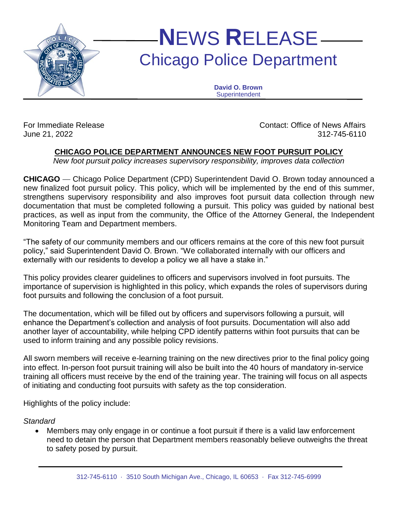

# **N**EWS **R**ELEASE Chicago Police Department

**David O. Brown Superintendent** 

For Immediate Release Contact: Office of News Affairs June 21, 2022 312-745-6110

## **CHICAGO POLICE DEPARTMENT ANNOUNCES NEW FOOT PURSUIT POLICY**

*New foot pursuit policy increases supervisory responsibility, improves data collection*

**CHICAGO** — Chicago Police Department (CPD) Superintendent David O. Brown today announced a new finalized foot pursuit policy. This policy, which will be implemented by the end of this summer, strengthens supervisory responsibility and also improves foot pursuit data collection through new documentation that must be completed following a pursuit. This policy was guided by national best practices, as well as input from the community, the Office of the Attorney General, the Independent Monitoring Team and Department members.

"The safety of our community members and our officers remains at the core of this new foot pursuit policy," said Superintendent David O. Brown. "We collaborated internally with our officers and externally with our residents to develop a policy we all have a stake in."

This policy provides clearer guidelines to officers and supervisors involved in foot pursuits. The importance of supervision is highlighted in this policy, which expands the roles of supervisors during foot pursuits and following the conclusion of a foot pursuit.

The documentation, which will be filled out by officers and supervisors following a pursuit, will enhance the Department's collection and analysis of foot pursuits. Documentation will also add another layer of accountability, while helping CPD identify patterns within foot pursuits that can be used to inform training and any possible policy revisions.

All sworn members will receive e-learning training on the new directives prior to the final policy going into effect. In-person foot pursuit training will also be built into the 40 hours of mandatory in-service training all officers must receive by the end of the training year. The training will focus on all aspects of initiating and conducting foot pursuits with safety as the top consideration.

Highlights of the policy include:

*Standard*

 Members may only engage in or continue a foot pursuit if there is a valid law enforcement need to detain the person that Department members reasonably believe outweighs the threat to safety posed by pursuit.